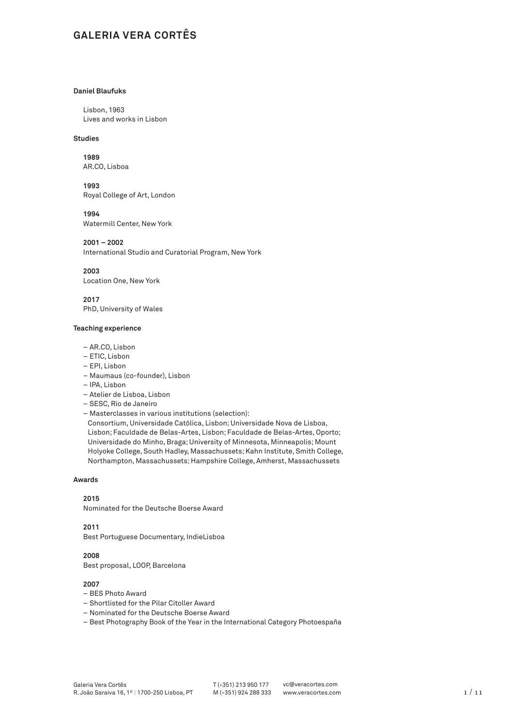# **GALERIA VERA CORTÊS**

# **Daniel Blaufuks**

Lisbon, 1963 Lives and works in Lisbon

# **Studies**

**1989**

AR.CO, Lisboa

**1993** Royal College of Art, London

**1994**

Watermill Center, New York

**2001 – 2002**

International Studio and Curatorial Program, New York

**2003** Location One, New York

**2017** PhD, University of Wales

### **Teaching experience**

- AR.CO, Lisbon
- ETIC, Lisbon
- EPI, Lisbon
- Maumaus (co-founder), Lisbon
- IPA, Lisbon
- Atelier de Lisboa, Lisbon
- SESC, Rio de Janeiro
- Masterclasses in various institutions (selection):

Consortium, Universidade Católica, Lisbon; Universidade Nova de Lisboa, Lisbon; Faculdade de Belas-Artes, Lisbon; Faculdade de Belas-Artes, Oporto; Universidade do Minho, Braga; University of Minnesota, Minneapolis; Mount Holyoke College, South Hadley, Massachussets; Kahn Institute, Smith College, Northampton, Massachussets; Hampshire College, Amherst, Massachussets

# **Awards**

# **2015**

Nominated for the Deutsche Boerse Award

# **2011**

Best Portuguese Documentary, IndieLisboa

**2008**  Best proposal, LOOP, Barcelona

- BES Photo Award
- Shortlisted for the Pilar Citoller Award
- Nominated for the Deutsche Boerse Award
- Best Photography Book of the Year in the International Category Photoespaña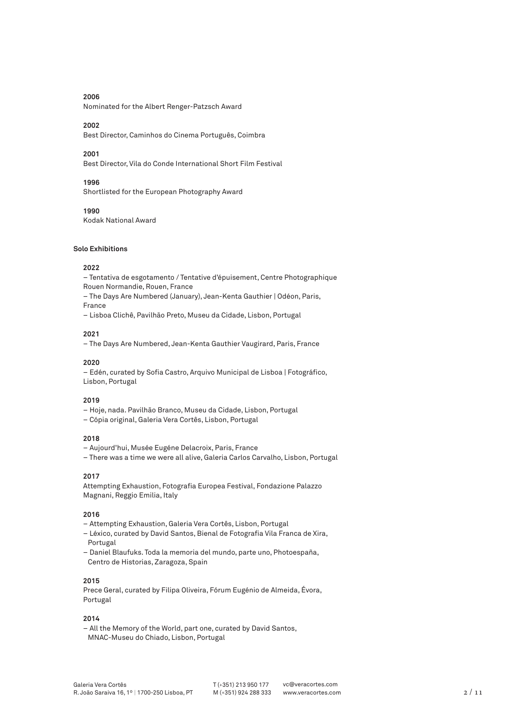Nominated for the Albert Renger-Patzsch Award

# **2002**

Best Director, Caminhos do Cinema Português, Coimbra

# **2001**

Best Director, Vila do Conde International Short Film Festival

# **1996**

Shortlisted for the European Photography Award

## **1990**

Kodak National Award

#### **Solo Exhibitions**

# **2022**

– Tentativa de esgotamento / Tentative d'épuisement, Centre Photographique Rouen Normandie, Rouen, France

– The Days Are Numbered (January), Jean-Kenta Gauthier | Odéon, Paris, France

– Lisboa Clichê, Pavilhão Preto, Museu da Cidade, Lisbon, Portugal

# **2021**

– The Days Are Numbered, Jean-Kenta Gauthier Vaugirard, Paris, France

# **2020**

– Edén, curated by Sofia Castro, Arquivo Municipal de Lisboa | Fotográfico, Lisbon, Portugal

## **2019**

– Hoje, nada. Pavilhão Branco, Museu da Cidade, Lisbon, Portugal

– Cópia original, Galeria Vera Cortês, Lisbon, Portugal

#### **2018**

– Aujourd'hui, Musée Eugéne Delacroix, Paris, France

– There was a time we were all alive, Galeria Carlos Carvalho, Lisbon, Portugal

# **2017**

Attempting Exhaustion, Fotografia Europea Festival, Fondazione Palazzo Magnani, Reggio Emilia, Italy

#### **2016**

- Attempting Exhaustion, Galeria Vera Cortês, Lisbon, Portugal
- Léxico, curated by David Santos, Bienal de Fotografia Vila Franca de Xira, Portugal
- Daniel Blaufuks. Toda la memoria del mundo, parte uno, Photoespaña, Centro de Historias, Zaragoza, Spain

# **2015**

Prece Geral, curated by Filipa Oliveira, Fórum Eugénio de Almeida, Évora, Portugal

#### **2014**

– All the Memory of the World, part one, curated by David Santos, MNAC-Museu do Chiado, Lisbon, Portugal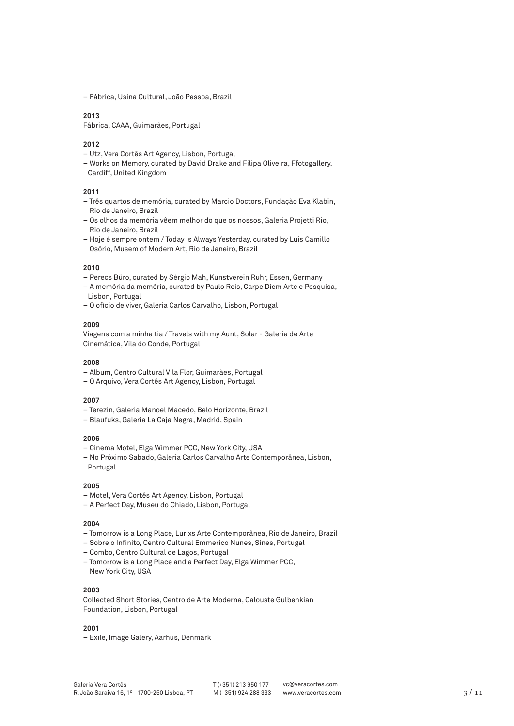– Fábrica, Usina Cultural, João Pessoa, Brazil

# **2013**

Fábrica, CAAA, Guimarães, Portugal

# **2012**

- Utz, Vera Cortês Art Agency, Lisbon, Portugal
- Works on Memory, curated by David Drake and Filipa Oliveira, Ffotogallery, Cardiff, United Kingdom

# **2011**

- Três quartos de memória, curated by Marcio Doctors, Fundação Eva Klabin, Rio de Janeiro, Brazil
- Os olhos da memória vêem melhor do que os nossos, Galeria Projetti Rio, Rio de Janeiro, Brazil
- Hoje é sempre ontem / Today is Always Yesterday, curated by Luis Camillo Osório, Musem of Modern Art, Rio de Janeiro, Brazil

## **2010**

- Perecs Büro, curated by Sérgio Mah, Kunstverein Ruhr, Essen, Germany
- A memória da memória, curated by Paulo Reis, Carpe Diem Arte e Pesquisa, Lisbon, Portugal
- O ofício de viver, Galeria Carlos Carvalho, Lisbon, Portugal

#### **2009**

Viagens com a minha tia / Travels with my Aunt, Solar - Galeria de Arte Cinemática, Vila do Conde, Portugal

#### **2008**

- Album, Centro Cultural Vila Flor, Guimarães, Portugal
- O Arquivo, Vera Cortês Art Agency, Lisbon, Portugal

#### **2007**

- Terezin, Galeria Manoel Macedo, Belo Horizonte, Brazil
- Blaufuks, Galeria La Caja Negra, Madrid, Spain

#### **2006**

- Cinema Motel, Elga Wimmer PCC, New York City, USA
- No Próximo Sabado, Galeria Carlos Carvalho Arte Contemporânea, Lisbon, Portugal

#### **2005**

- Motel, Vera Cortês Art Agency, Lisbon, Portugal
- A Perfect Day, Museu do Chiado, Lisbon, Portugal

# **2004**

- Tomorrow is a Long Place, Lurixs Arte Contemporânea, Rio de Janeiro, Brazil
- Sobre o Infinito, Centro Cultural Emmerico Nunes, Sines, Portugal
- Combo, Centro Cultural de Lagos, Portugal
- Tomorrow is a Long Place and a Perfect Day, Elga Wimmer PCC, New York City, USA

# **2003**

Collected Short Stories, Centro de Arte Moderna, Calouste Gulbenkian Foundation, Lisbon, Portugal

# **2001**

– Exile, Image Galery, Aarhus, Denmark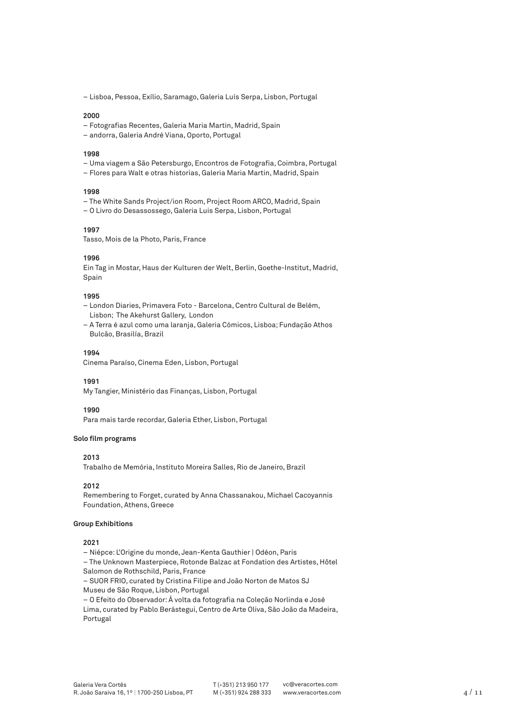– Lisboa, Pessoa, Exílio, Saramago, Galeria Luís Serpa, Lisbon, Portugal

#### **2000**

- Fotografias Recentes, Galeria Maria Martin, Madrid, Spain
- andorra, Galeria André Viana, Oporto, Portugal

#### **1998**

- Uma viagem a São Petersburgo, Encontros de Fotografia, Coimbra, Portugal
- Flores para Walt e otras historias, Galeria Maria Martin, Madrid, Spain

# **1998**

- The White Sands Project/ion Room, Project Room ARCO, Madrid, Spain
- O Livro do Desassossego, Galeria Luis Serpa, Lisbon, Portugal

#### **1997**

Tasso, Mois de la Photo, Paris, France

## **1996**

Ein Tag in Mostar, Haus der Kulturen der Welt, Berlin, Goethe-Institut, Madrid, Spain

#### **1995**

- London Diaries, Primavera Foto Barcelona, Centro Cultural de Belém, Lisbon; The Akehurst Gallery, London
- A Terra é azul como uma laranja, Galeria Cómicos, Lisboa; Fundação Athos Bulcão, Brasilía, Brazil

#### **1994**

Cinema Paraíso, Cinema Eden, Lisbon, Portugal

**1991**

My Tangier, Ministério das Finanças, Lisbon, Portugal

# **1990**

Para mais tarde recordar, Galeria Ether, Lisbon, Portugal

#### **Solo film programs**

# **2013**

Trabalho de Memória, Instituto Moreira Salles, Rio de Janeiro, Brazil

#### **2012**

Remembering to Forget, curated by Anna Chassanakou, Michael Cacoyannis Foundation, Athens, Greece

# **Group Exhibitions**

#### **2021**

– Niépce: L'Origine du monde, Jean-Kenta Gauthier | Odéon, Paris

– The Unknown Masterpiece, Rotonde Balzac at Fondation des Artistes, Hôtel Salomon de Rothschild, Paris, France

– SUOR FRIO, curated by Cristina Filipe and João Norton de Matos SJ Museu de São Roque, Lisbon, Portugal

– O Efeito do Observador: À volta da fotografia na Coleção Norlinda e José Lima, curated by Pablo Berástegui, Centro de Arte Oliva, São João da Madeira, Portugal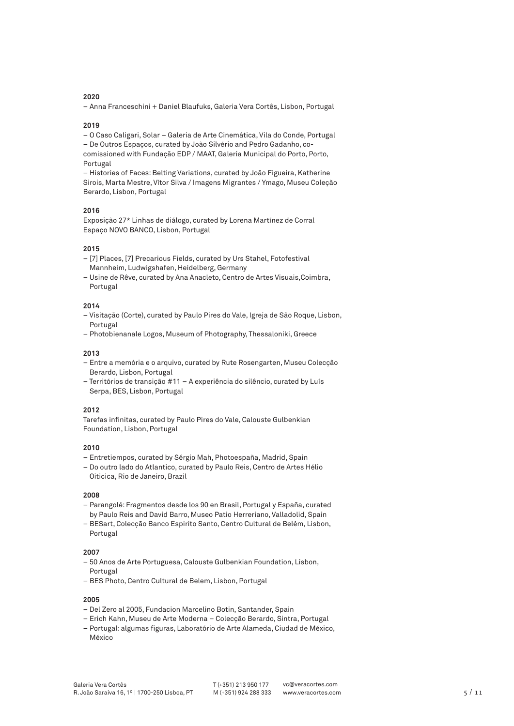– Anna Franceschini + Daniel Blaufuks, Galeria Vera Cortês, Lisbon, Portugal

# **2019**

– O Caso Caligari, Solar – Galeria de Arte Cinemática, Vila do Conde, Portugal – De Outros Espaços, curated by João Silvério and Pedro Gadanho, cocomissioned with Fundação EDP / MAAT, Galeria Municipal do Porto, Porto, Portugal

– Histories of Faces: Belting Variations, curated by João Figueira, Katherine Sirois, Marta Mestre, Vítor Silva / Imagens Migrantes / Ymago, Museu Coleção Berardo, Lisbon, Portugal

### **2016**

Exposição 27\* Linhas de diálogo, curated by Lorena Martínez de Corral Espaço NOVO BANCO, Lisbon, Portugal

# **2015**

- [7] Places, [7] Precarious Fields, curated by Urs Stahel, Fotofestival Mannheim, Ludwigshafen, Heidelberg, Germany
- Usine de Rêve, curated by Ana Anacleto, Centro de Artes Visuais,Coimbra, Portugal

# **2014**

- Visitação (Corte), curated by Paulo Pires do Vale, Igreja de São Roque, Lisbon, Portugal
- Photobienanale Logos, Museum of Photography, Thessaloniki, Greece

#### **2013**

- Entre a memória e o arquivo, curated by Rute Rosengarten, Museu Colecção Berardo, Lisbon, Portugal
- Territórios de transição #11 A experiência do silêncio, curated by Luís Serpa, BES, Lisbon, Portugal

# **2012**

Tarefas infinitas, curated by Paulo Pires do Vale, Calouste Gulbenkian Foundation, Lisbon, Portugal

# **2010**

- Entretiempos, curated by Sérgio Mah, Photoespaña, Madrid, Spain
- Do outro lado do Atlantico, curated by Paulo Reis, Centro de Artes Hélio Oiticica, Rio de Janeiro, Brazil

#### **2008**

- Parangolé: Fragmentos desde los 90 en Brasil, Portugal y España, curated by Paulo Reis and David Barro, Museo Patio Herreriano, Valladolid, Spain
- BESart, Colecção Banco Espirito Santo, Centro Cultural de Belém, Lisbon, Portugal

#### **2007**

- 50 Anos de Arte Portuguesa, Calouste Gulbenkian Foundation, Lisbon, Portugal
- BES Photo, Centro Cultural de Belem, Lisbon, Portugal

- Del Zero al 2005, Fundacion Marcelino Botin, Santander, Spain
- Erich Kahn, Museu de Arte Moderna Colecção Berardo, Sintra, Portugal
- Portugal: algumas figuras, Laboratório de Arte Alameda, Ciudad de México, México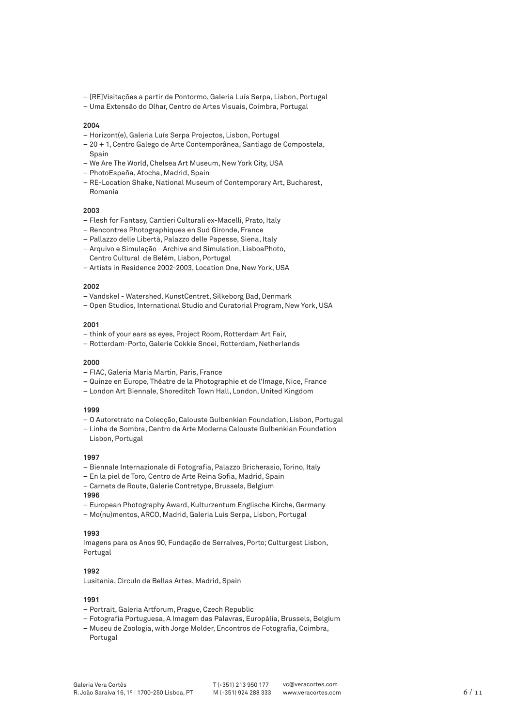- [RE]Visitações a partir de Pontormo, Galeria Luís Serpa, Lisbon, Portugal
- Uma Extensão do Olhar, Centro de Artes Visuais, Coimbra, Portugal

- Horizont(e), Galeria Luís Serpa Projectos, Lisbon, Portugal
- 20 + 1, Centro Galego de Arte Contemporânea, Santiago de Compostela, Spain
- We Are The World, Chelsea Art Museum, New York City, USA
- PhotoEspaña, Atocha, Madrid, Spain
- RE-Location Shake, National Museum of Contemporary Art, Bucharest, Romania

# **2003**

- Flesh for Fantasy, Cantieri Culturali ex-Macelli, Prato, Italy
- Rencontres Photographiques en Sud Gironde, France
- Pallazzo delle Libertà, Palazzo delle Papesse, Siena, Italy
- Arquivo e Simulação Archive and Simulation, LisboaPhoto, Centro Cultural de Belém, Lisbon, Portugal
- Artists in Residence 2002-2003, Location One, New York, USA

### **2002**

- Vandskel Watershed. KunstCentret, Silkeborg Bad, Denmark
- Open Studios, International Studio and Curatorial Program, New York, USA

## **2001**

- think of your ears as eyes, Project Room, Rotterdam Art Fair,
- Rotterdam-Porto, Galerie Cokkie Snoei, Rotterdam, Netherlands

#### **2000**

- FIAC, Galeria Maria Martin, Paris, France
- Quinze en Europe, Théatre de la Photographie et de l'Image, Nice, France
- London Art Biennale, Shoreditch Town Hall, London, United Kingdom

# **1999**

- O Autoretrato na Colecção, Calouste Gulbenkian Foundation, Lisbon, Portugal
- Linha de Sombra, Centro de Arte Moderna Calouste Gulbenkian Foundation Lisbon, Portugal

#### **1997**

- Biennale Internazionale di Fotografia, Palazzo Bricherasio, Torino, Italy
- En la piel de Toro, Centro de Arte Reina Sofia, Madrid, Spain
- Carnets de Route, Galerie Contretype, Brussels, Belgium

# **1996**

- European Photography Award, Kulturzentum Englische Kirche, Germany
- Mo(nu)mentos, ARCO, Madrid, Galeria Luis Serpa, Lisbon, Portugal

## **1993**

Imagens para os Anos 90, Fundação de Serralves, Porto; Culturgest Lisbon, Portugal

#### **1992**

Lusitania, Circulo de Bellas Artes, Madrid, Spain

- Portrait, Galeria Artforum, Prague, Czech Republic
- Fotografia Portuguesa, A Imagem das Palavras, Europália, Brussels, Belgium
- Museu de Zoologia, with Jorge Molder, Encontros de Fotografia, Coimbra, Portugal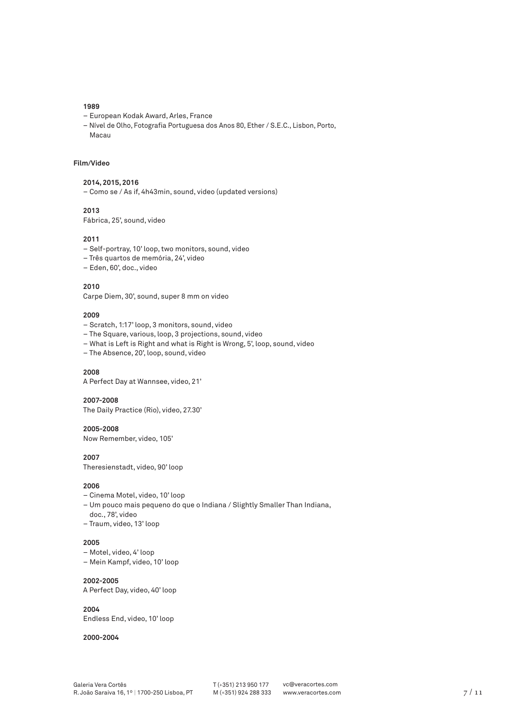- European Kodak Award, Arles, France
- Nível de Olho, Fotografia Portuguesa dos Anos 80, Ether / S.E.C., Lisbon, Porto, Macau

# **Film/Video**

#### **2014, 2015, 2016**

– Como se / As if, 4h43min, sound, video (updated versions)

# **2013**

Fábrica, 25', sound, video

### **2011**

- Self-portray, 10' loop, two monitors, sound, video
- Três quartos de memória, 24', video
- Eden, 60', doc., video

# **2010**

Carpe Diem, 30', sound, super 8 mm on video

# **2009**

- Scratch, 1:17' loop, 3 monitors, sound, video
- The Square, various, loop, 3 projections, sound, video
- What is Left is Right and what is Right is Wrong, 5', loop, sound, video
- The Absence, 20', loop, sound, video

# **2008**

A Perfect Day at Wannsee, video, 21'

#### **2007-2008**

The Daily Practice (Rio), video, 27.30'

# **2005-2008**

Now Remember, video, 105'

# **2007**

Theresienstadt, video, 90' loop

#### **2006**

- Cinema Motel, video, 10' loop
- Um pouco mais pequeno do que o Indiana / Slightly Smaller Than Indiana,
- doc., 78', video
- Traum, video, 13' loop

# **2005**

- Motel, video, 4' loop
- Mein Kampf, video, 10' loop

#### **2002-2005**

A Perfect Day, video, 40' loop

#### **2004**

Endless End, video, 10' loop

#### **2000-2004**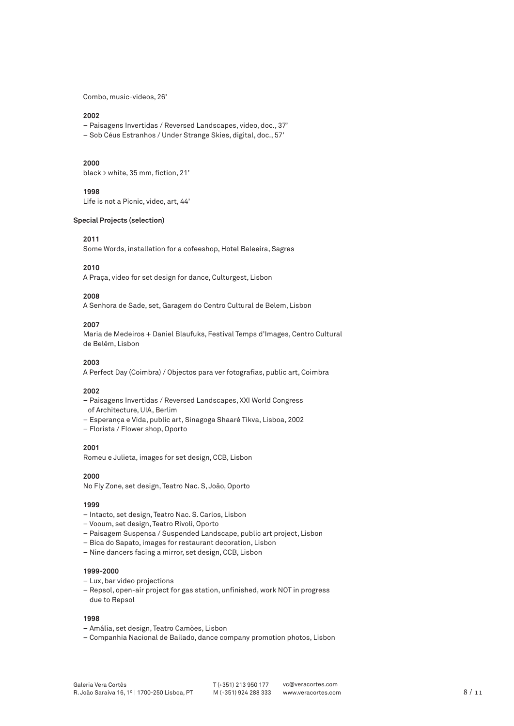Combo, music-videos, 26'

#### **2002**

- Paisagens Invertidas / Reversed Landscapes, video, doc., 37'
- Sob Céus Estranhos / Under Strange Skies, digital, doc., 57'

## **2000**

black > white, 35 mm, fiction, 21'

# **1998**

Life is not a Picnic, video, art, 44'

## **Special Projects (selection)**

# **2011**

Some Words, installation for a cofeeshop, Hotel Baleeira, Sagres

# **2010**

A Praça, video for set design for dance, Culturgest, Lisbon

## **2008**

A Senhora de Sade, set, Garagem do Centro Cultural de Belem, Lisbon

#### **2007**

Maria de Medeiros + Daniel Blaufuks, Festival Temps d'Images, Centro Cultural de Belém, Lisbon

# **2003**

A Perfect Day (Coimbra) / Objectos para ver fotografias, public art, Coimbra

# **2002**

- Paisagens Invertidas / Reversed Landscapes, XXI World Congress
- of Architecture, UIA, Berlim
- Esperança e Vida, public art, Sinagoga Shaaré Tikva, Lisboa, 2002
- Florista / Flower shop, Oporto

# **2001**

Romeu e Julieta, images for set design, CCB, Lisbon

# **2000**

No Fly Zone, set design, Teatro Nac. S, João, Oporto

## **1999**

- Intacto, set design, Teatro Nac. S. Carlos, Lisbon
- Vooum, set design, Teatro Rivoli, Oporto
- Paisagem Suspensa / Suspended Landscape, public art project, Lisbon
- Bica do Sapato, images for restaurant decoration, Lisbon
- Nine dancers facing a mirror, set design, CCB, Lisbon

# **1999-2000**

- Lux, bar video projections
- Repsol, open-air project for gas station, unfinished, work NOT in progress due to Repsol

- Amália, set design, Teatro Camões, Lisbon
- Companhia Nacional de Bailado, dance company promotion photos, Lisbon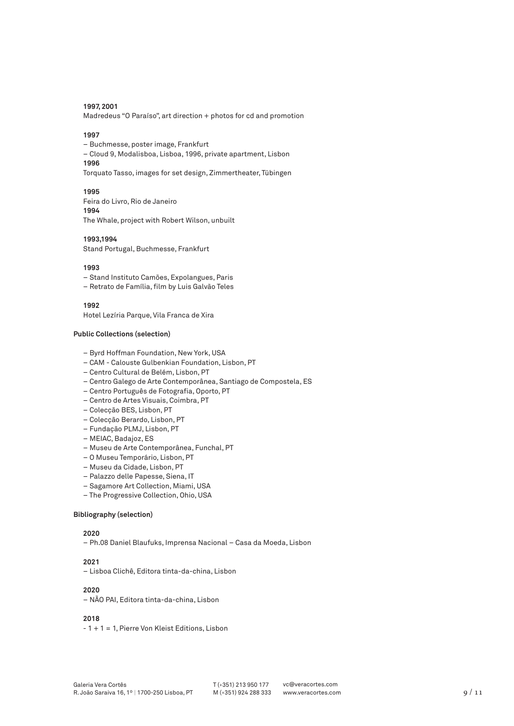### **1997, 2001**

Madredeus "O Paraíso", art direction + photos for cd and promotion

#### **1997**

– Buchmesse, poster image, Frankfurt – Cloud 9, Modalisboa, Lisboa, 1996, private apartment, Lisbon **1996** Torquato Tasso, images for set design, Zimmertheater, Tübingen

### **1995**

Feira do Livro, Rio de Janeiro **1994** The Whale, project with Robert Wilson, unbuilt

# **1993,1994**

Stand Portugal, Buchmesse, Frankfurt

#### **1993**

- Stand Instituto Camões, Expolangues, Paris
- Retrato de Família, film by Luis Galvão Teles

**1992**

Hotel Lezíria Parque, Vila Franca de Xira

# **Public Collections (selection)**

- Byrd Hoffman Foundation, New York, USA
- CAM Calouste Gulbenkian Foundation, Lisbon, PT
- Centro Cultural de Belém, Lisbon, PT
- Centro Galego de Arte Contemporânea, Santiago de Compostela, ES
- Centro Português de Fotografia, Oporto, PT
- Centro de Artes Visuais, Coimbra, PT
- Colecção BES, Lisbon, PT
- Colecção Berardo, Lisbon, PT
- Fundação PLMJ, Lisbon, PT
- MEIAC, Badajoz, ES
- Museu de Arte Contemporânea, Funchal, PT
- O Museu Temporário, Lisbon, PT
- Museu da Cidade, Lisbon, PT
- Palazzo delle Papesse, Siena, IT
- Sagamore Art Collection, Miami, USA
- The Progressive Collection, Ohio, USA

#### **Bibliography (selection)**

## **2020**

– Ph.08 Daniel Blaufuks, Imprensa Nacional – Casa da Moeda, Lisbon

# **2021**

– Lisboa Clichê, Editora tinta-da-china, Lisbon

# **2020**

– NÃO PAI, Editora tinta-da-china, Lisbon

#### **2018**

- 1 + 1 = 1, Pierre Von Kleist Editions, Lisbon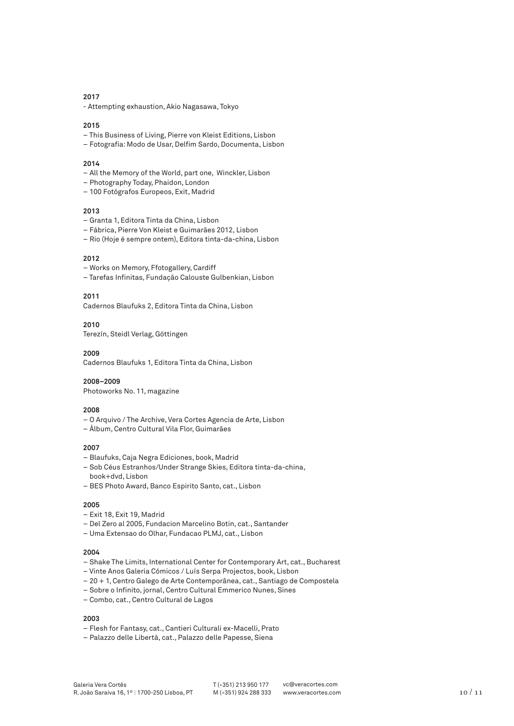- Attempting exhaustion, Akio Nagasawa, Tokyo

# **2015**

– This Business of Living, Pierre von Kleist Editions, Lisbon

– Fotografia: Modo de Usar, Delfim Sardo, Documenta, Lisbon

# **2014**

- All the Memory of the World, part one, Winckler, Lisbon
- Photography Today, Phaidon, London
- 100 Fotógrafos Europeos, Exit, Madrid

# **2013**

- Granta 1, Editora Tinta da China, Lisbon
- Fábrica, Pierre Von Kleist e Guimarães 2012, Lisbon
- Rio (Hoje é sempre ontem), Editora tinta-da-china, Lisbon

#### **2012**

- Works on Memory, Ffotogallery, Cardiff
- Tarefas Infinitas, Fundação Calouste Gulbenkian, Lisbon

# **2011**

Cadernos Blaufuks 2, Editora Tinta da China, Lisbon

## **2010**

Terezín, Steidl Verlag, Göttingen

#### **2009**

Cadernos Blaufuks 1, Editora Tinta da China, Lisbon

#### **2008–2009**

Photoworks No. 11, magazine

# **2008**

- O Arquivo / The Archive, Vera Cortes Agencia de Arte, Lisbon
- Álbum, Centro Cultural Vila Flor, Guimarães

# **2007**

- Blaufuks, Caja Negra Ediciones, book, Madrid
- Sob Céus Estranhos/Under Strange Skies, Editora tinta-da-china, book+dvd, Lisbon
- BES Photo Award, Banco Espirito Santo, cat., Lisbon

#### **2005**

- Exit 18, Exit 19, Madrid
- Del Zero al 2005, Fundacion Marcelino Botin, cat., Santander
- Uma Extensao do Olhar, Fundacao PLMJ, cat., Lisbon

## **2004**

- Shake The Limits, International Center for Contemporary Art, cat., Bucharest
- Vinte Anos Galeria Cómicos / Luís Serpa Projectos, book, Lisbon
- 20 + 1, Centro Galego de Arte Contemporânea, cat., Santiago de Compostela
- Sobre o Infinito, jornal, Centro Cultural Emmerico Nunes, Sines
- Combo, cat., Centro Cultural de Lagos

- Flesh for Fantasy, cat., Cantieri Culturali ex-Macelli, Prato
- Palazzo delle Libertà, cat., Palazzo delle Papesse, Siena